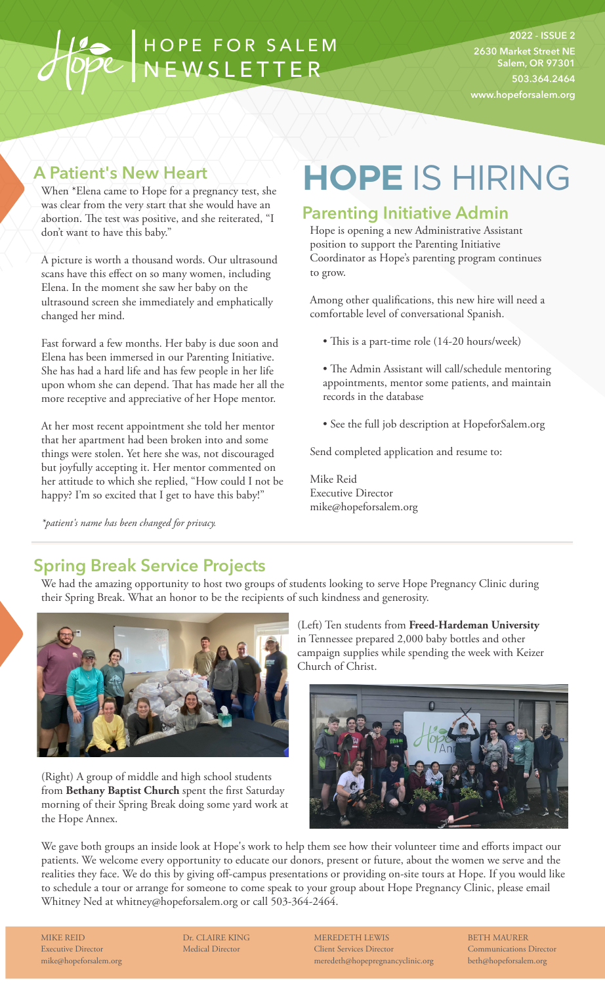## HOPE FOR SALEM NEWSLETTER

**2022 - ISSUE 2 2630 Market Street NE Salem, OR 97301 503.364.2464 www.hopeforsalem.org**

#### **A Patient's New Heart**

When \*Elena came to Hope for a pregnancy test, she was clear from the very start that she would have an abortion. The test was positive, and she reiterated, "I don't want to have this baby."

A picture is worth a thousand words. Our ultrasound scans have this effect on so many women, including Elena. In the moment she saw her baby on the ultrasound screen she immediately and emphatically changed her mind.

Fast forward a few months. Her baby is due soon and Elena has been immersed in our Parenting Initiative. She has had a hard life and has few people in her life upon whom she can depend. That has made her all the more receptive and appreciative of her Hope mentor.

At her most recent appointment she told her mentor that her apartment had been broken into and some things were stolen. Yet here she was, not discouraged but joyfully accepting it. Her mentor commented on her attitude to which she replied, "How could I not be happy? I'm so excited that I get to have this baby!"

*\*patient's name has been changed for privacy.*

# **HOPE** IS HIRING

### **Parenting Initiative Admin**

Hope is opening a new Administrative Assistant position to support the Parenting Initiative Coordinator as Hope's parenting program continues to grow.

Among other qualifications, this new hire will need a comfortable level of conversational Spanish.

- This is a part-time role (14-20 hours/week)
- The Admin Assistant will call/schedule mentoring appointments, mentor some patients, and maintain records in the database
- See the full job description at HopeforSalem.org

Send completed application and resume to:

Mike Reid Executive Director mike@hopeforsalem.org

### **Spring Break Service Projects**

We had the amazing opportunity to host two groups of students looking to serve Hope Pregnancy Clinic during their Spring Break. What an honor to be the recipients of such kindness and generosity.



(Right) A group of middle and high school students from **Bethany Baptist Church** spent the first Saturday morning of their Spring Break doing some yard work at the Hope Annex.

(Left) Ten students from **Freed-Hardeman University**  in Tennessee prepared 2,000 baby bottles and other campaign supplies while spending the week with Keizer Church of Christ.



We gave both groups an inside look at Hope's work to help them see how their volunteer time and efforts impact our patients. We welcome every opportunity to educate our donors, present or future, about the women we serve and the realities they face. We do this by giving off-campus presentations or providing on-site tours at Hope. If you would like to schedule a tour or arrange for someone to come speak to your group about Hope Pregnancy Clinic, please email Whitney Ned at whitney@hopeforsalem.org or call 503-364-2464.

MIKE REID Executive Director mike@hopeforsalem.org Dr. CLAIRE KING Medical Director

MEREDETH LEWIS Client Services Director meredeth@hopepregnancyclinic.org BETH MAURER Communications Director beth@hopeforsalem.org